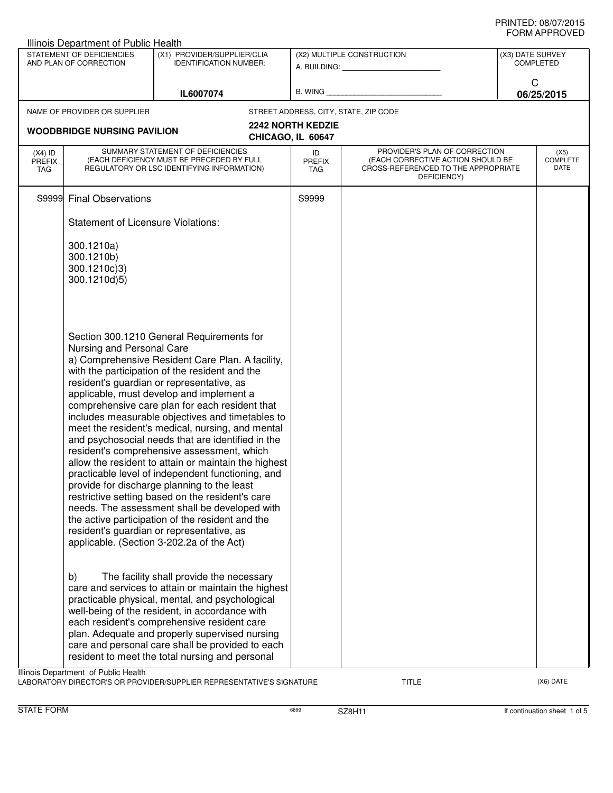| Illinois Department of Public Health                                                                                |                                                                                                                                                                                                                                                                                                                                                                                                                                                                                                                                                                                                                                                                                                                                                                                                                                                                                                                                                   |                                                                                                                                                                                                                                                                                                                                                                                                              |                                               |                                                                                                                          |   |                                 |  |
|---------------------------------------------------------------------------------------------------------------------|---------------------------------------------------------------------------------------------------------------------------------------------------------------------------------------------------------------------------------------------------------------------------------------------------------------------------------------------------------------------------------------------------------------------------------------------------------------------------------------------------------------------------------------------------------------------------------------------------------------------------------------------------------------------------------------------------------------------------------------------------------------------------------------------------------------------------------------------------------------------------------------------------------------------------------------------------|--------------------------------------------------------------------------------------------------------------------------------------------------------------------------------------------------------------------------------------------------------------------------------------------------------------------------------------------------------------------------------------------------------------|-----------------------------------------------|--------------------------------------------------------------------------------------------------------------------------|---|---------------------------------|--|
| STATEMENT OF DEFICIENCIES<br>(X1) PROVIDER/SUPPLIER/CLIA<br>AND PLAN OF CORRECTION<br><b>IDENTIFICATION NUMBER:</b> |                                                                                                                                                                                                                                                                                                                                                                                                                                                                                                                                                                                                                                                                                                                                                                                                                                                                                                                                                   | (X2) MULTIPLE CONSTRUCTION<br>A. BUILDING: A. BUILDING:                                                                                                                                                                                                                                                                                                                                                      |                                               | (X3) DATE SURVEY<br><b>COMPLETED</b>                                                                                     |   |                                 |  |
|                                                                                                                     |                                                                                                                                                                                                                                                                                                                                                                                                                                                                                                                                                                                                                                                                                                                                                                                                                                                                                                                                                   | IL6007074                                                                                                                                                                                                                                                                                                                                                                                                    | B. WING                                       |                                                                                                                          | C | 06/25/2015                      |  |
|                                                                                                                     | NAME OF PROVIDER OR SUPPLIER                                                                                                                                                                                                                                                                                                                                                                                                                                                                                                                                                                                                                                                                                                                                                                                                                                                                                                                      |                                                                                                                                                                                                                                                                                                                                                                                                              |                                               | STREET ADDRESS, CITY, STATE, ZIP CODE                                                                                    |   |                                 |  |
|                                                                                                                     | <b>WOODBRIDGE NURSING PAVILION</b>                                                                                                                                                                                                                                                                                                                                                                                                                                                                                                                                                                                                                                                                                                                                                                                                                                                                                                                |                                                                                                                                                                                                                                                                                                                                                                                                              | <b>2242 NORTH KEDZIE</b><br>CHICAGO, IL 60647 |                                                                                                                          |   |                                 |  |
| $(X4)$ ID<br><b>PREFIX</b><br>TAG                                                                                   |                                                                                                                                                                                                                                                                                                                                                                                                                                                                                                                                                                                                                                                                                                                                                                                                                                                                                                                                                   | SUMMARY STATEMENT OF DEFICIENCIES<br>(EACH DEFICIENCY MUST BE PRECEDED BY FULL<br>REGULATORY OR LSC IDENTIFYING INFORMATION)                                                                                                                                                                                                                                                                                 | ID<br><b>PREFIX</b><br>TAG                    | PROVIDER'S PLAN OF CORRECTION<br>(EACH CORRECTIVE ACTION SHOULD BE<br>CROSS-REFERENCED TO THE APPROPRIATE<br>DEFICIENCY) |   | (X5)<br><b>COMPLETE</b><br>DATE |  |
|                                                                                                                     | S9999 Final Observations                                                                                                                                                                                                                                                                                                                                                                                                                                                                                                                                                                                                                                                                                                                                                                                                                                                                                                                          |                                                                                                                                                                                                                                                                                                                                                                                                              | S9999                                         |                                                                                                                          |   |                                 |  |
|                                                                                                                     | <b>Statement of Licensure Violations:</b>                                                                                                                                                                                                                                                                                                                                                                                                                                                                                                                                                                                                                                                                                                                                                                                                                                                                                                         |                                                                                                                                                                                                                                                                                                                                                                                                              |                                               |                                                                                                                          |   |                                 |  |
|                                                                                                                     | 300.1210a)<br>300.1210b)<br>300.1210c)3)<br>300.1210d)5)                                                                                                                                                                                                                                                                                                                                                                                                                                                                                                                                                                                                                                                                                                                                                                                                                                                                                          |                                                                                                                                                                                                                                                                                                                                                                                                              |                                               |                                                                                                                          |   |                                 |  |
|                                                                                                                     | Section 300.1210 General Requirements for<br>Nursing and Personal Care<br>a) Comprehensive Resident Care Plan. A facility,<br>with the participation of the resident and the<br>resident's guardian or representative, as<br>applicable, must develop and implement a<br>comprehensive care plan for each resident that<br>includes measurable objectives and timetables to<br>meet the resident's medical, nursing, and mental<br>and psychosocial needs that are identified in the<br>resident's comprehensive assessment, which<br>allow the resident to attain or maintain the highest<br>practicable level of independent functioning, and<br>provide for discharge planning to the least<br>restrictive setting based on the resident's care<br>needs. The assessment shall be developed with<br>the active participation of the resident and the<br>resident's guardian or representative, as<br>applicable. (Section 3-202.2a of the Act) |                                                                                                                                                                                                                                                                                                                                                                                                              |                                               |                                                                                                                          |   |                                 |  |
|                                                                                                                     | b)                                                                                                                                                                                                                                                                                                                                                                                                                                                                                                                                                                                                                                                                                                                                                                                                                                                                                                                                                | The facility shall provide the necessary<br>care and services to attain or maintain the highest<br>practicable physical, mental, and psychological<br>well-being of the resident, in accordance with<br>each resident's comprehensive resident care<br>plan. Adequate and properly supervised nursing<br>care and personal care shall be provided to each<br>resident to meet the total nursing and personal |                                               |                                                                                                                          |   |                                 |  |
|                                                                                                                     | Illinois Department of Public Health                                                                                                                                                                                                                                                                                                                                                                                                                                                                                                                                                                                                                                                                                                                                                                                                                                                                                                              |                                                                                                                                                                                                                                                                                                                                                                                                              |                                               |                                                                                                                          |   |                                 |  |

LABORATORY DIRECTOR'S OR PROVIDER/SUPPLIER REPRESENTATIVE'S SIGNATURE TITLE TITLE THE CONSERVATION OF THE CONST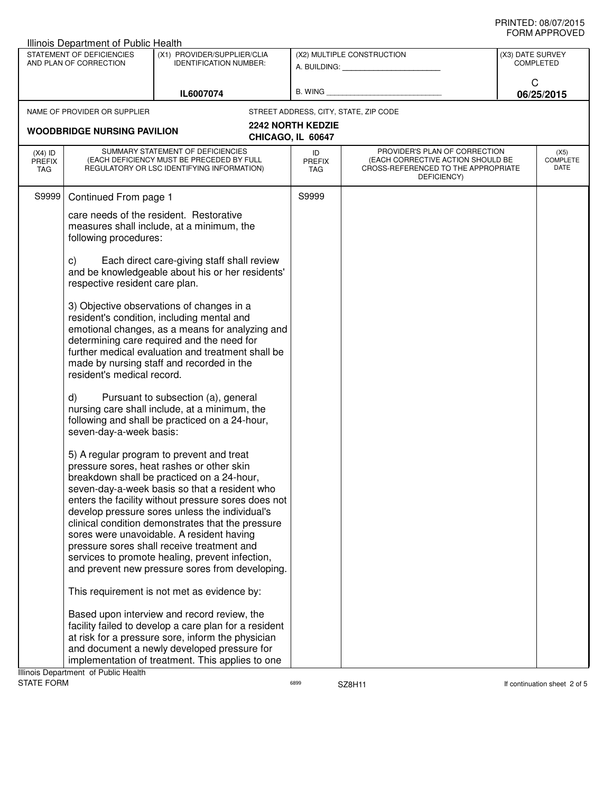| <b>Illinois Department of Public Health</b>         |                                                                                                                                        |                                                                                                                                                                                                                                                                                                                                                                                                                                                                                                                                                      |                                                                                                                                              |                                                                                                                          |                                      |                                 |  |
|-----------------------------------------------------|----------------------------------------------------------------------------------------------------------------------------------------|------------------------------------------------------------------------------------------------------------------------------------------------------------------------------------------------------------------------------------------------------------------------------------------------------------------------------------------------------------------------------------------------------------------------------------------------------------------------------------------------------------------------------------------------------|----------------------------------------------------------------------------------------------------------------------------------------------|--------------------------------------------------------------------------------------------------------------------------|--------------------------------------|---------------------------------|--|
| STATEMENT OF DEFICIENCIES<br>AND PLAN OF CORRECTION |                                                                                                                                        | (X1) PROVIDER/SUPPLIER/CLIA<br><b>IDENTIFICATION NUMBER:</b>                                                                                                                                                                                                                                                                                                                                                                                                                                                                                         | (X2) MULTIPLE CONSTRUCTION<br>A. BUILDING: A SALE AND THE SALE AND THE SALE AND THE SALE AND THE SALE AND THE SALE AND THE SALE AND THE SALE |                                                                                                                          | (X3) DATE SURVEY<br><b>COMPLETED</b> |                                 |  |
|                                                     |                                                                                                                                        | IL6007074                                                                                                                                                                                                                                                                                                                                                                                                                                                                                                                                            | B. WING                                                                                                                                      |                                                                                                                          |                                      | C<br>06/25/2015                 |  |
|                                                     | NAME OF PROVIDER OR SUPPLIER                                                                                                           |                                                                                                                                                                                                                                                                                                                                                                                                                                                                                                                                                      |                                                                                                                                              | STREET ADDRESS, CITY, STATE, ZIP CODE                                                                                    |                                      |                                 |  |
|                                                     | <b>WOODBRIDGE NURSING PAVILION</b>                                                                                                     |                                                                                                                                                                                                                                                                                                                                                                                                                                                                                                                                                      | <b>2242 NORTH KEDZIE</b><br>CHICAGO, IL 60647                                                                                                |                                                                                                                          |                                      |                                 |  |
| $(X4)$ ID<br><b>PREFIX</b><br>TAG                   |                                                                                                                                        | SUMMARY STATEMENT OF DEFICIENCIES<br>(EACH DEFICIENCY MUST BE PRECEDED BY FULL<br>REGULATORY OR LSC IDENTIFYING INFORMATION)                                                                                                                                                                                                                                                                                                                                                                                                                         | ID<br><b>PREFIX</b><br>TAG                                                                                                                   | PROVIDER'S PLAN OF CORRECTION<br>(EACH CORRECTIVE ACTION SHOULD BE<br>CROSS-REFERENCED TO THE APPROPRIATE<br>DEFICIENCY) |                                      | (X5)<br><b>COMPLETE</b><br>DATE |  |
| S9999                                               | Continued From page 1                                                                                                                  |                                                                                                                                                                                                                                                                                                                                                                                                                                                                                                                                                      | S9999                                                                                                                                        |                                                                                                                          |                                      |                                 |  |
|                                                     | care needs of the resident. Restorative<br>measures shall include, at a minimum, the<br>following procedures:                          |                                                                                                                                                                                                                                                                                                                                                                                                                                                                                                                                                      |                                                                                                                                              |                                                                                                                          |                                      |                                 |  |
|                                                     | Each direct care-giving staff shall review<br>C)<br>and be knowledgeable about his or her residents'<br>respective resident care plan. |                                                                                                                                                                                                                                                                                                                                                                                                                                                                                                                                                      |                                                                                                                                              |                                                                                                                          |                                      |                                 |  |
|                                                     | resident's medical record.                                                                                                             | 3) Objective observations of changes in a<br>resident's condition, including mental and<br>emotional changes, as a means for analyzing and<br>determining care required and the need for<br>further medical evaluation and treatment shall be<br>made by nursing staff and recorded in the                                                                                                                                                                                                                                                           |                                                                                                                                              |                                                                                                                          |                                      |                                 |  |
|                                                     | d)<br>seven-day-a-week basis:                                                                                                          | Pursuant to subsection (a), general<br>nursing care shall include, at a minimum, the<br>following and shall be practiced on a 24-hour,                                                                                                                                                                                                                                                                                                                                                                                                               |                                                                                                                                              |                                                                                                                          |                                      |                                 |  |
|                                                     |                                                                                                                                        | 5) A regular program to prevent and treat<br>pressure sores, heat rashes or other skin<br>breakdown shall be practiced on a 24-hour,<br>seven-day-a-week basis so that a resident who<br>enters the facility without pressure sores does not<br>develop pressure sores unless the individual's<br>clinical condition demonstrates that the pressure<br>sores were unavoidable. A resident having<br>pressure sores shall receive treatment and<br>services to promote healing, prevent infection,<br>and prevent new pressure sores from developing. |                                                                                                                                              |                                                                                                                          |                                      |                                 |  |
|                                                     |                                                                                                                                        | This requirement is not met as evidence by:<br>Based upon interview and record review, the                                                                                                                                                                                                                                                                                                                                                                                                                                                           |                                                                                                                                              |                                                                                                                          |                                      |                                 |  |
|                                                     |                                                                                                                                        | facility failed to develop a care plan for a resident<br>at risk for a pressure sore, inform the physician<br>and document a newly developed pressure for                                                                                                                                                                                                                                                                                                                                                                                            |                                                                                                                                              |                                                                                                                          |                                      |                                 |  |
|                                                     |                                                                                                                                        | implementation of treatment. This applies to one                                                                                                                                                                                                                                                                                                                                                                                                                                                                                                     |                                                                                                                                              |                                                                                                                          |                                      |                                 |  |
|                                                     | Illinois Department of Public Health                                                                                                   |                                                                                                                                                                                                                                                                                                                                                                                                                                                                                                                                                      |                                                                                                                                              |                                                                                                                          |                                      |                                 |  |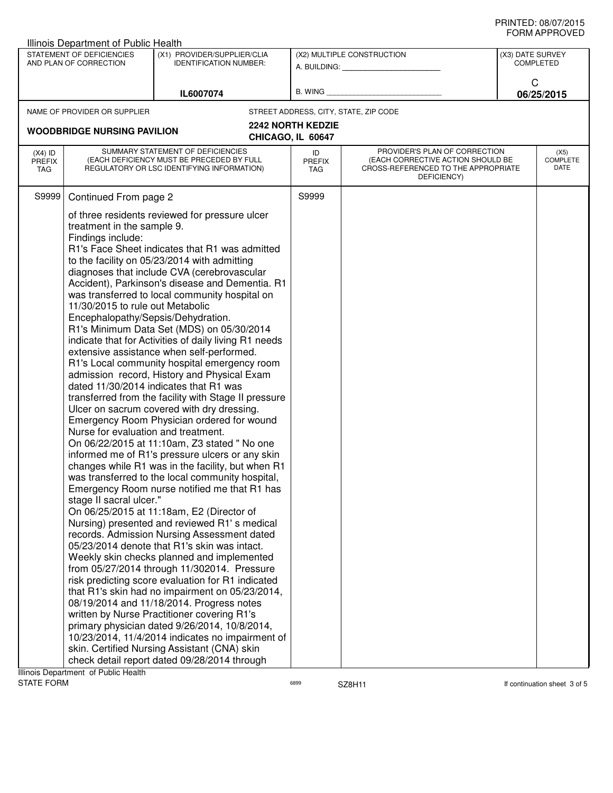| ᅴᄖᄞᇊᆝᆝᇅ៴ᄂ<br>Illinois Department of Public Health                                                                   |                                                                                                                                                                                                                                                                                                                                                                                                                                                                                                                                                                                                                                                                                                                                                                                                                                                                                                                                                                                                                                                                                                                                                                                                                                                                                                                                                                                                                                                                                                                                                                                                                                                                                                                                                                                                                                                                                                                                                                                                       |                                                         |                                                                                                                                                 |                                       |   |                                 |  |
|---------------------------------------------------------------------------------------------------------------------|-------------------------------------------------------------------------------------------------------------------------------------------------------------------------------------------------------------------------------------------------------------------------------------------------------------------------------------------------------------------------------------------------------------------------------------------------------------------------------------------------------------------------------------------------------------------------------------------------------------------------------------------------------------------------------------------------------------------------------------------------------------------------------------------------------------------------------------------------------------------------------------------------------------------------------------------------------------------------------------------------------------------------------------------------------------------------------------------------------------------------------------------------------------------------------------------------------------------------------------------------------------------------------------------------------------------------------------------------------------------------------------------------------------------------------------------------------------------------------------------------------------------------------------------------------------------------------------------------------------------------------------------------------------------------------------------------------------------------------------------------------------------------------------------------------------------------------------------------------------------------------------------------------------------------------------------------------------------------------------------------------|---------------------------------------------------------|-------------------------------------------------------------------------------------------------------------------------------------------------|---------------------------------------|---|---------------------------------|--|
| STATEMENT OF DEFICIENCIES<br>(X1) PROVIDER/SUPPLIER/CLIA<br>AND PLAN OF CORRECTION<br><b>IDENTIFICATION NUMBER:</b> |                                                                                                                                                                                                                                                                                                                                                                                                                                                                                                                                                                                                                                                                                                                                                                                                                                                                                                                                                                                                                                                                                                                                                                                                                                                                                                                                                                                                                                                                                                                                                                                                                                                                                                                                                                                                                                                                                                                                                                                                       | (X2) MULTIPLE CONSTRUCTION<br>A. BUILDING: A. BUILDING: |                                                                                                                                                 | (X3) DATE SURVEY<br><b>COMPLETED</b>  |   |                                 |  |
|                                                                                                                     |                                                                                                                                                                                                                                                                                                                                                                                                                                                                                                                                                                                                                                                                                                                                                                                                                                                                                                                                                                                                                                                                                                                                                                                                                                                                                                                                                                                                                                                                                                                                                                                                                                                                                                                                                                                                                                                                                                                                                                                                       | IL6007074                                               |                                                                                                                                                 | B. WING <b>Example 20</b>             | C | 06/25/2015                      |  |
|                                                                                                                     | NAME OF PROVIDER OR SUPPLIER                                                                                                                                                                                                                                                                                                                                                                                                                                                                                                                                                                                                                                                                                                                                                                                                                                                                                                                                                                                                                                                                                                                                                                                                                                                                                                                                                                                                                                                                                                                                                                                                                                                                                                                                                                                                                                                                                                                                                                          |                                                         |                                                                                                                                                 | STREET ADDRESS, CITY, STATE, ZIP CODE |   |                                 |  |
|                                                                                                                     |                                                                                                                                                                                                                                                                                                                                                                                                                                                                                                                                                                                                                                                                                                                                                                                                                                                                                                                                                                                                                                                                                                                                                                                                                                                                                                                                                                                                                                                                                                                                                                                                                                                                                                                                                                                                                                                                                                                                                                                                       |                                                         | <b>2242 NORTH KEDZIE</b>                                                                                                                        |                                       |   |                                 |  |
| $(X4)$ ID<br><b>PREFIX</b><br><b>TAG</b>                                                                            | SUMMARY STATEMENT OF DEFICIENCIES<br>(EACH DEFICIENCY MUST BE PRECEDED BY FULL<br>REGULATORY OR LSC IDENTIFYING INFORMATION)                                                                                                                                                                                                                                                                                                                                                                                                                                                                                                                                                                                                                                                                                                                                                                                                                                                                                                                                                                                                                                                                                                                                                                                                                                                                                                                                                                                                                                                                                                                                                                                                                                                                                                                                                                                                                                                                          |                                                         | PROVIDER'S PLAN OF CORRECTION<br>ID<br>(EACH CORRECTIVE ACTION SHOULD BE<br>PREFIX<br>CROSS-REFERENCED TO THE APPROPRIATE<br>TAG<br>DEFICIENCY) |                                       |   | (X5)<br><b>COMPLETE</b><br>DATE |  |
| S9999                                                                                                               |                                                                                                                                                                                                                                                                                                                                                                                                                                                                                                                                                                                                                                                                                                                                                                                                                                                                                                                                                                                                                                                                                                                                                                                                                                                                                                                                                                                                                                                                                                                                                                                                                                                                                                                                                                                                                                                                                                                                                                                                       |                                                         | S9999                                                                                                                                           |                                       |   |                                 |  |
|                                                                                                                     | <b>WOODBRIDGE NURSING PAVILION</b><br>CHICAGO, IL 60647<br>Continued From page 2<br>of three residents reviewed for pressure ulcer<br>treatment in the sample 9.<br>Findings include:<br>R1's Face Sheet indicates that R1 was admitted<br>to the facility on 05/23/2014 with admitting<br>diagnoses that include CVA (cerebrovascular<br>Accident), Parkinson's disease and Dementia. R1<br>was transferred to local community hospital on<br>11/30/2015 to rule out Metabolic<br>Encephalopathy/Sepsis/Dehydration.<br>R1's Minimum Data Set (MDS) on 05/30/2014<br>indicate that for Activities of daily living R1 needs<br>extensive assistance when self-performed.<br>R1's Local community hospital emergency room<br>admission record, History and Physical Exam<br>dated 11/30/2014 indicates that R1 was<br>transferred from the facility with Stage II pressure<br>Ulcer on sacrum covered with dry dressing.<br>Emergency Room Physician ordered for wound<br>Nurse for evaluation and treatment.<br>On 06/22/2015 at 11:10am, Z3 stated " No one<br>informed me of R1's pressure ulcers or any skin<br>changes while R1 was in the facility, but when R1<br>was transferred to the local community hospital,<br>Emergency Room nurse notified me that R1 has<br>stage II sacral ulcer."<br>On 06/25/2015 at 11:18am, E2 (Director of<br>Nursing) presented and reviewed R1's medical<br>records. Admission Nursing Assessment dated<br>05/23/2014 denote that R1's skin was intact.<br>Weekly skin checks planned and implemented<br>from 05/27/2014 through 11/302014. Pressure<br>risk predicting score evaluation for R1 indicated<br>that R1's skin had no impairment on 05/23/2014,<br>08/19/2014 and 11/18/2014. Progress notes<br>written by Nurse Practitioner covering R1's<br>primary physician dated 9/26/2014, 10/8/2014,<br>10/23/2014, 11/4/2014 indicates no impairment of<br>skin. Certified Nursing Assistant (CNA) skin<br>check detail report dated 09/28/2014 through |                                                         |                                                                                                                                                 |                                       |   |                                 |  |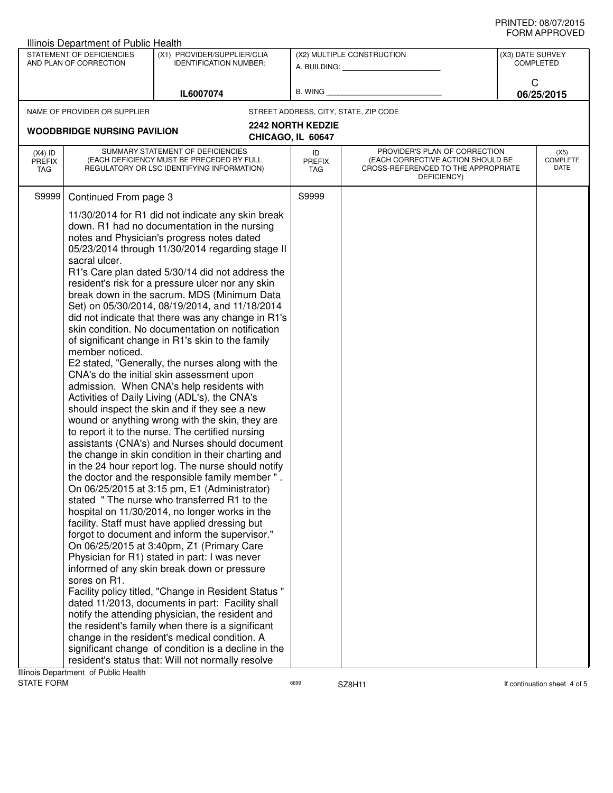| Illinois Department of Public Health                                                                                |                                                                                                                                                                                                                                                                                                                                                                                                                                                                                                                                                                                                                                                                                                                                                                                                                                                                                                                                                                                                                                                                                                                                                                                                                                                                                                                                                                                                                                                                                                                                                                                                                                                                                                                                                                                                                                                                                                                                                                                                                                                                                                                                                                                         |                                                         |                                               |                                                                                                                          |   |                                 |
|---------------------------------------------------------------------------------------------------------------------|-----------------------------------------------------------------------------------------------------------------------------------------------------------------------------------------------------------------------------------------------------------------------------------------------------------------------------------------------------------------------------------------------------------------------------------------------------------------------------------------------------------------------------------------------------------------------------------------------------------------------------------------------------------------------------------------------------------------------------------------------------------------------------------------------------------------------------------------------------------------------------------------------------------------------------------------------------------------------------------------------------------------------------------------------------------------------------------------------------------------------------------------------------------------------------------------------------------------------------------------------------------------------------------------------------------------------------------------------------------------------------------------------------------------------------------------------------------------------------------------------------------------------------------------------------------------------------------------------------------------------------------------------------------------------------------------------------------------------------------------------------------------------------------------------------------------------------------------------------------------------------------------------------------------------------------------------------------------------------------------------------------------------------------------------------------------------------------------------------------------------------------------------------------------------------------------|---------------------------------------------------------|-----------------------------------------------|--------------------------------------------------------------------------------------------------------------------------|---|---------------------------------|
| STATEMENT OF DEFICIENCIES<br>(X1) PROVIDER/SUPPLIER/CLIA<br>AND PLAN OF CORRECTION<br><b>IDENTIFICATION NUMBER:</b> |                                                                                                                                                                                                                                                                                                                                                                                                                                                                                                                                                                                                                                                                                                                                                                                                                                                                                                                                                                                                                                                                                                                                                                                                                                                                                                                                                                                                                                                                                                                                                                                                                                                                                                                                                                                                                                                                                                                                                                                                                                                                                                                                                                                         | (X2) MULTIPLE CONSTRUCTION<br>A. BUILDING: A. BUILDING: |                                               | (X3) DATE SURVEY<br><b>COMPLETED</b>                                                                                     |   |                                 |
|                                                                                                                     |                                                                                                                                                                                                                                                                                                                                                                                                                                                                                                                                                                                                                                                                                                                                                                                                                                                                                                                                                                                                                                                                                                                                                                                                                                                                                                                                                                                                                                                                                                                                                                                                                                                                                                                                                                                                                                                                                                                                                                                                                                                                                                                                                                                         | IL6007074                                               | B. WING                                       |                                                                                                                          | C | 06/25/2015                      |
|                                                                                                                     | NAME OF PROVIDER OR SUPPLIER                                                                                                                                                                                                                                                                                                                                                                                                                                                                                                                                                                                                                                                                                                                                                                                                                                                                                                                                                                                                                                                                                                                                                                                                                                                                                                                                                                                                                                                                                                                                                                                                                                                                                                                                                                                                                                                                                                                                                                                                                                                                                                                                                            |                                                         |                                               | STREET ADDRESS, CITY, STATE, ZIP CODE                                                                                    |   |                                 |
|                                                                                                                     |                                                                                                                                                                                                                                                                                                                                                                                                                                                                                                                                                                                                                                                                                                                                                                                                                                                                                                                                                                                                                                                                                                                                                                                                                                                                                                                                                                                                                                                                                                                                                                                                                                                                                                                                                                                                                                                                                                                                                                                                                                                                                                                                                                                         |                                                         | <b>2242 NORTH KEDZIE</b><br>CHICAGO, IL 60647 |                                                                                                                          |   |                                 |
| $(X4)$ ID<br><b>PREFIX</b><br><b>TAG</b>                                                                            |                                                                                                                                                                                                                                                                                                                                                                                                                                                                                                                                                                                                                                                                                                                                                                                                                                                                                                                                                                                                                                                                                                                                                                                                                                                                                                                                                                                                                                                                                                                                                                                                                                                                                                                                                                                                                                                                                                                                                                                                                                                                                                                                                                                         |                                                         | ID<br><b>PREFIX</b><br>TAG                    | PROVIDER'S PLAN OF CORRECTION<br>(EACH CORRECTIVE ACTION SHOULD BE<br>CROSS-REFERENCED TO THE APPROPRIATE<br>DEFICIENCY) |   | (X5)<br><b>COMPLETE</b><br>DATE |
| S9999                                                                                                               |                                                                                                                                                                                                                                                                                                                                                                                                                                                                                                                                                                                                                                                                                                                                                                                                                                                                                                                                                                                                                                                                                                                                                                                                                                                                                                                                                                                                                                                                                                                                                                                                                                                                                                                                                                                                                                                                                                                                                                                                                                                                                                                                                                                         |                                                         | S9999                                         |                                                                                                                          |   |                                 |
| Ilinoic Donartmont of Public Hoalth                                                                                 | <b>WOODBRIDGE NURSING PAVILION</b><br>SUMMARY STATEMENT OF DEFICIENCIES<br>(EACH DEFICIENCY MUST BE PRECEDED BY FULL<br>REGULATORY OR LSC IDENTIFYING INFORMATION)<br>Continued From page 3<br>11/30/2014 for R1 did not indicate any skin break<br>down. R1 had no documentation in the nursing<br>notes and Physician's progress notes dated<br>05/23/2014 through 11/30/2014 regarding stage II<br>sacral ulcer.<br>R1's Care plan dated 5/30/14 did not address the<br>resident's risk for a pressure ulcer nor any skin<br>break down in the sacrum. MDS (Minimum Data<br>Set) on 05/30/2014, 08/19/2014, and 11/18/2014<br>did not indicate that there was any change in R1's<br>skin condition. No documentation on notification<br>of significant change in R1's skin to the family<br>member noticed.<br>E2 stated, "Generally, the nurses along with the<br>CNA's do the initial skin assessment upon<br>admission. When CNA's help residents with<br>Activities of Daily Living (ADL's), the CNA's<br>should inspect the skin and if they see a new<br>wound or anything wrong with the skin, they are<br>to report it to the nurse. The certified nursing<br>assistants (CNA's) and Nurses should document<br>the change in skin condition in their charting and<br>in the 24 hour report log. The nurse should notify<br>the doctor and the responsible family member".<br>On 06/25/2015 at 3:15 pm, E1 (Administrator)<br>stated "The nurse who transferred R1 to the<br>hospital on 11/30/2014, no longer works in the<br>facility. Staff must have applied dressing but<br>forgot to document and inform the supervisor."<br>On 06/25/2015 at 3:40pm, Z1 (Primary Care<br>Physician for R1) stated in part: I was never<br>informed of any skin break down or pressure<br>sores on R1.<br>Facility policy titled, "Change in Resident Status"<br>dated 11/2013, documents in part: Facility shall<br>notify the attending physician, the resident and<br>the resident's family when there is a significant<br>change in the resident's medical condition. A<br>significant change of condition is a decline in the<br>resident's status that: Will not normally resolve |                                                         |                                               |                                                                                                                          |   |                                 |